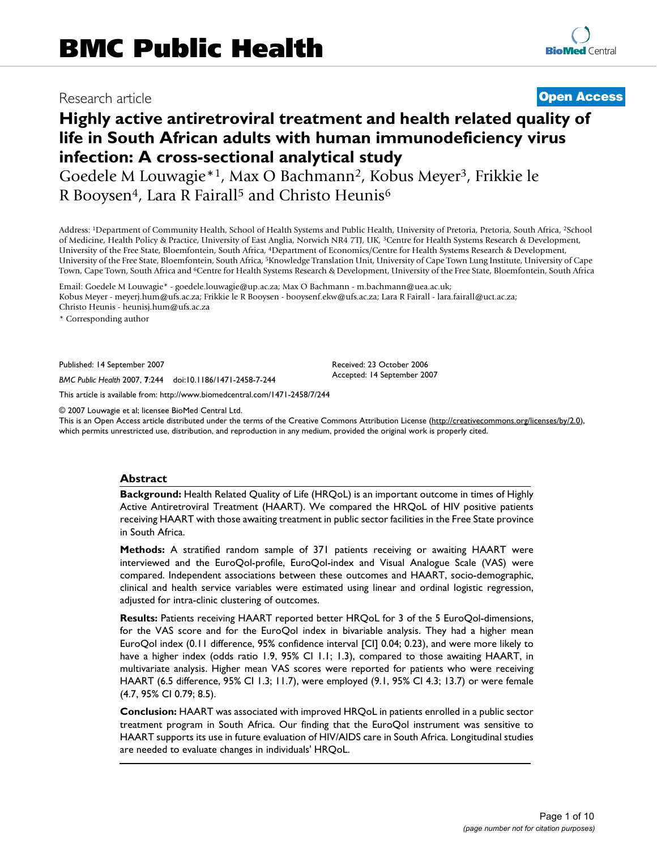# Research article **[Open Access](http://www.biomedcentral.com/info/about/charter/)**

# **Highly active antiretroviral treatment and health related quality of life in South African adults with human immunodeficiency virus infection: A cross-sectional analytical study**

Goedele M Louwagie\*1, Max O Bachmann2, Kobus Meyer3, Frikkie le R Booysen<sup>4</sup>, Lara R Fairall<sup>5</sup> and Christo Heunis<sup>6</sup>

Address: 1Department of Community Health, School of Health Systems and Public Health, University of Pretoria, Pretoria, South Africa, 2School of Medicine, Health Policy & Practice, University of East Anglia, Norwich NR4 7TJ, UK, 3Centre for Health Systems Research & Development, University of the Free State, Bloemfontein, South Africa, 4Department of Economics/Centre for Health Systems Research & Development, University of the Free State, Bloemfontein, South Africa, 5Knowledge Translation Unit, University of Cape Town Lung Institute, University of Cape Town, Cape Town, South Africa and 6Centre for Health Systems Research & Development, University of the Free State, Bloemfontein, South Africa

Email: Goedele M Louwagie\* - goedele.louwagie@up.ac.za; Max O Bachmann - m.bachmann@uea.ac.uk; Kobus Meyer - meyerj.hum@ufs.ac.za; Frikkie le R Booysen - booysenf.ekw@ufs.ac.za; Lara R Fairall - lara.fairall@uct.ac.za; Christo Heunis - heunisj.hum@ufs.ac.za

\* Corresponding author

Published: 14 September 2007

*BMC Public Health* 2007, **7**:244 doi:10.1186/1471-2458-7-244

[This article is available from: http://www.biomedcentral.com/1471-2458/7/244](http://www.biomedcentral.com/1471-2458/7/244)

© 2007 Louwagie et al; licensee BioMed Central Ltd.

This is an Open Access article distributed under the terms of the Creative Commons Attribution License [\(http://creativecommons.org/licenses/by/2.0\)](http://creativecommons.org/licenses/by/2.0), which permits unrestricted use, distribution, and reproduction in any medium, provided the original work is properly cited.

Received: 23 October 2006 Accepted: 14 September 2007

#### **Abstract**

**Background:** Health Related Quality of Life (HRQoL) is an important outcome in times of Highly Active Antiretroviral Treatment (HAART). We compared the HRQoL of HIV positive patients receiving HAART with those awaiting treatment in public sector facilities in the Free State province in South Africa.

**Methods:** A stratified random sample of 371 patients receiving or awaiting HAART were interviewed and the EuroQol-profile, EuroQol-index and Visual Analogue Scale (VAS) were compared. Independent associations between these outcomes and HAART, socio-demographic, clinical and health service variables were estimated using linear and ordinal logistic regression, adjusted for intra-clinic clustering of outcomes.

**Results:** Patients receiving HAART reported better HRQoL for 3 of the 5 EuroQol-dimensions, for the VAS score and for the EuroQol index in bivariable analysis. They had a higher mean EuroQol index (0.11 difference, 95% confidence interval [CI] 0.04; 0.23), and were more likely to have a higher index (odds ratio 1.9, 95% CI 1.1; 1.3), compared to those awaiting HAART, in multivariate analysis. Higher mean VAS scores were reported for patients who were receiving HAART (6.5 difference, 95% CI 1.3; 11.7), were employed (9.1, 95% CI 4.3; 13.7) or were female (4.7, 95% CI 0.79; 8.5).

**Conclusion:** HAART was associated with improved HRQoL in patients enrolled in a public sector treatment program in South Africa. Our finding that the EuroQol instrument was sensitive to HAART supports its use in future evaluation of HIV/AIDS care in South Africa. Longitudinal studies are needed to evaluate changes in individuals' HRQoL.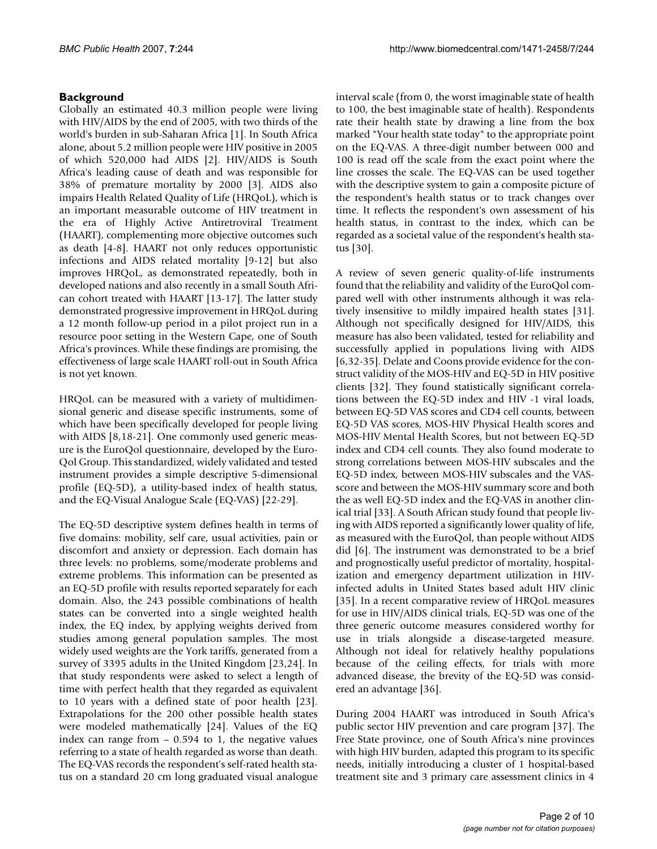# **Background**

Globally an estimated 40.3 million people were living with HIV/AIDS by the end of 2005, with two thirds of the world's burden in sub-Saharan Africa [1]. In South Africa alone, about 5.2 million people were HIV positive in 2005 of which 520,000 had AIDS [2]. HIV/AIDS is South Africa's leading cause of death and was responsible for 38% of premature mortality by 2000 [3]. AIDS also impairs Health Related Quality of Life (HRQoL), which is an important measurable outcome of HIV treatment in the era of Highly Active Antiretroviral Treatment (HAART), complementing more objective outcomes such as death [4-8]. HAART not only reduces opportunistic infections and AIDS related mortality [9-12] but also improves HRQoL, as demonstrated repeatedly, both in developed nations and also recently in a small South African cohort treated with HAART [13-17]. The latter study demonstrated progressive improvement in HRQoL during a 12 month follow-up period in a pilot project run in a resource poor setting in the Western Cape, one of South Africa's provinces. While these findings are promising, the effectiveness of large scale HAART roll-out in South Africa is not yet known.

HRQoL can be measured with a variety of multidimensional generic and disease specific instruments, some of which have been specifically developed for people living with AIDS [8,18-21]. One commonly used generic measure is the EuroQol questionnaire, developed by the Euro-Qol Group. This standardized, widely validated and tested instrument provides a simple descriptive 5-dimensional profile (EQ-5D), a utility-based index of health status, and the EQ-Visual Analogue Scale (EQ-VAS) [22-29].

The EQ-5D descriptive system defines health in terms of five domains: mobility, self care, usual activities, pain or discomfort and anxiety or depression. Each domain has three levels: no problems, some/moderate problems and extreme problems. This information can be presented as an EQ-5D profile with results reported separately for each domain. Also, the 243 possible combinations of health states can be converted into a single weighted health index, the EQ index, by applying weights derived from studies among general population samples. The most widely used weights are the York tariffs, generated from a survey of 3395 adults in the United Kingdom [23,24]. In that study respondents were asked to select a length of time with perfect health that they regarded as equivalent to 10 years with a defined state of poor health [23]. Extrapolations for the 200 other possible health states were modeled mathematically [24]. Values of the EQ index can range from – 0.594 to 1, the negative values referring to a state of health regarded as worse than death. The EQ-VAS records the respondent's self-rated health status on a standard 20 cm long graduated visual analogue

interval scale (from 0, the worst imaginable state of health to 100, the best imaginable state of health). Respondents rate their health state by drawing a line from the box marked "Your health state today" to the appropriate point on the EQ-VAS. A three-digit number between 000 and 100 is read off the scale from the exact point where the line crosses the scale. The EQ-VAS can be used together with the descriptive system to gain a composite picture of the respondent's health status or to track changes over time. It reflects the respondent's own assessment of his health status, in contrast to the index, which can be regarded as a societal value of the respondent's health status [30].

A review of seven generic quality-of-life instruments found that the reliability and validity of the EuroQol compared well with other instruments although it was relatively insensitive to mildly impaired health states [31]. Although not specifically designed for HIV/AIDS, this measure has also been validated, tested for reliability and successfully applied in populations living with AIDS [6,32-35]. Delate and Coons provide evidence for the construct validity of the MOS-HIV and EQ-5D in HIV positive clients [32]. They found statistically significant correlations between the EQ-5D index and HIV -1 viral loads, between EQ-5D VAS scores and CD4 cell counts, between EQ-5D VAS scores, MOS-HIV Physical Health scores and MOS-HIV Mental Health Scores, but not between EQ-5D index and CD4 cell counts. They also found moderate to strong correlations between MOS-HIV subscales and the EQ-5D index, between MOS-HIV subscales and the VASscore and between the MOS-HIV summary score and both the as well EQ-5D index and the EQ-VAS in another clinical trial [33]. A South African study found that people living with AIDS reported a significantly lower quality of life, as measured with the EuroQol, than people without AIDS did [6]. The instrument was demonstrated to be a brief and prognostically useful predictor of mortality, hospitalization and emergency department utilization in HIVinfected adults in United States based adult HIV clinic [35]. In a recent comparative review of HRQoL measures for use in HIV/AIDS clinical trials, EQ-5D was one of the three generic outcome measures considered worthy for use in trials alongside a disease-targeted measure. Although not ideal for relatively healthy populations because of the ceiling effects, for trials with more advanced disease, the brevity of the EQ-5D was considered an advantage [36].

During 2004 HAART was introduced in South Africa's public sector HIV prevention and care program [37]. The Free State province, one of South Africa's nine provinces with high HIV burden, adapted this program to its specific needs, initially introducing a cluster of 1 hospital-based treatment site and 3 primary care assessment clinics in 4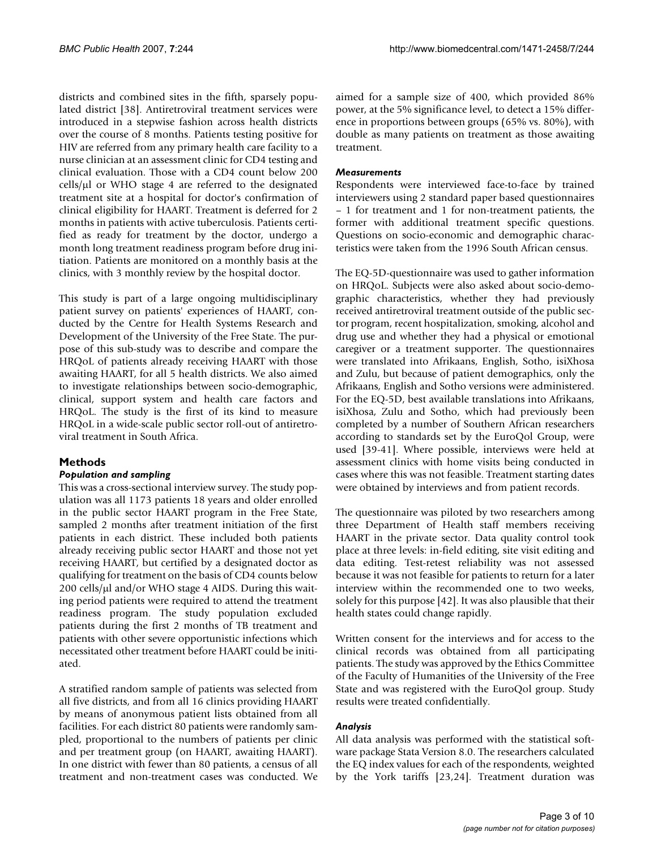districts and combined sites in the fifth, sparsely populated district [38]. Antiretroviral treatment services were introduced in a stepwise fashion across health districts over the course of 8 months. Patients testing positive for HIV are referred from any primary health care facility to a nurse clinician at an assessment clinic for CD4 testing and clinical evaluation. Those with a CD4 count below 200  $cells/µ$ l or WHO stage 4 are referred to the designated treatment site at a hospital for doctor's confirmation of clinical eligibility for HAART. Treatment is deferred for 2 months in patients with active tuberculosis. Patients certified as ready for treatment by the doctor, undergo a month long treatment readiness program before drug initiation. Patients are monitored on a monthly basis at the clinics, with 3 monthly review by the hospital doctor.

This study is part of a large ongoing multidisciplinary patient survey on patients' experiences of HAART, conducted by the Centre for Health Systems Research and Development of the University of the Free State. The purpose of this sub-study was to describe and compare the HRQoL of patients already receiving HAART with those awaiting HAART, for all 5 health districts. We also aimed to investigate relationships between socio-demographic, clinical, support system and health care factors and HRQoL. The study is the first of its kind to measure HRQoL in a wide-scale public sector roll-out of antiretroviral treatment in South Africa.

# **Methods**

### *Population and sampling*

This was a cross-sectional interview survey. The study population was all 1173 patients 18 years and older enrolled in the public sector HAART program in the Free State, sampled 2 months after treatment initiation of the first patients in each district. These included both patients already receiving public sector HAART and those not yet receiving HAART, but certified by a designated doctor as qualifying for treatment on the basis of CD4 counts below 200 cells/µl and/or WHO stage 4 AIDS. During this waiting period patients were required to attend the treatment readiness program. The study population excluded patients during the first 2 months of TB treatment and patients with other severe opportunistic infections which necessitated other treatment before HAART could be initiated.

A stratified random sample of patients was selected from all five districts, and from all 16 clinics providing HAART by means of anonymous patient lists obtained from all facilities. For each district 80 patients were randomly sampled, proportional to the numbers of patients per clinic and per treatment group (on HAART, awaiting HAART). In one district with fewer than 80 patients, a census of all treatment and non-treatment cases was conducted. We aimed for a sample size of 400, which provided 86% power, at the 5% significance level, to detect a 15% difference in proportions between groups (65% vs. 80%), with double as many patients on treatment as those awaiting treatment.

### *Measurements*

Respondents were interviewed face-to-face by trained interviewers using 2 standard paper based questionnaires – 1 for treatment and 1 for non-treatment patients, the former with additional treatment specific questions. Questions on socio-economic and demographic characteristics were taken from the 1996 South African census.

The EQ-5D-questionnaire was used to gather information on HRQoL. Subjects were also asked about socio-demographic characteristics, whether they had previously received antiretroviral treatment outside of the public sector program, recent hospitalization, smoking, alcohol and drug use and whether they had a physical or emotional caregiver or a treatment supporter. The questionnaires were translated into Afrikaans, English, Sotho, isiXhosa and Zulu, but because of patient demographics, only the Afrikaans, English and Sotho versions were administered. For the EQ-5D, best available translations into Afrikaans, isiXhosa, Zulu and Sotho, which had previously been completed by a number of Southern African researchers according to standards set by the EuroQol Group, were used [39-41]. Where possible, interviews were held at assessment clinics with home visits being conducted in cases where this was not feasible. Treatment starting dates were obtained by interviews and from patient records.

The questionnaire was piloted by two researchers among three Department of Health staff members receiving HAART in the private sector. Data quality control took place at three levels: in-field editing, site visit editing and data editing. Test-retest reliability was not assessed because it was not feasible for patients to return for a later interview within the recommended one to two weeks, solely for this purpose [42]. It was also plausible that their health states could change rapidly.

Written consent for the interviews and for access to the clinical records was obtained from all participating patients. The study was approved by the Ethics Committee of the Faculty of Humanities of the University of the Free State and was registered with the EuroQol group. Study results were treated confidentially.

### *Analysis*

All data analysis was performed with the statistical software package Stata Version 8.0. The researchers calculated the EQ index values for each of the respondents, weighted by the York tariffs [23,24]. Treatment duration was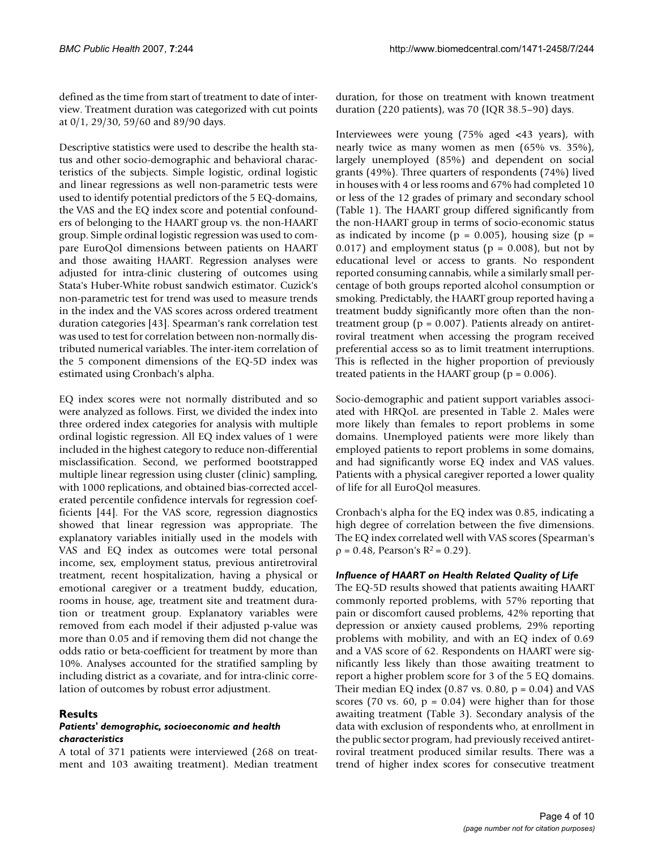defined as the time from start of treatment to date of interview. Treatment duration was categorized with cut points at 0/1, 29/30, 59/60 and 89/90 days.

Descriptive statistics were used to describe the health status and other socio-demographic and behavioral characteristics of the subjects. Simple logistic, ordinal logistic and linear regressions as well non-parametric tests were used to identify potential predictors of the 5 EQ-domains, the VAS and the EQ index score and potential confounders of belonging to the HAART group vs. the non-HAART group. Simple ordinal logistic regression was used to compare EuroQol dimensions between patients on HAART and those awaiting HAART. Regression analyses were adjusted for intra-clinic clustering of outcomes using Stata's Huber-White robust sandwich estimator. Cuzick's non-parametric test for trend was used to measure trends in the index and the VAS scores across ordered treatment duration categories [43]. Spearman's rank correlation test was used to test for correlation between non-normally distributed numerical variables. The inter-item correlation of the 5 component dimensions of the EQ-5D index was estimated using Cronbach's alpha.

EQ index scores were not normally distributed and so were analyzed as follows. First, we divided the index into three ordered index categories for analysis with multiple ordinal logistic regression. All EQ index values of 1 were included in the highest category to reduce non-differential misclassification. Second, we performed bootstrapped multiple linear regression using cluster (clinic) sampling, with 1000 replications, and obtained bias-corrected accelerated percentile confidence intervals for regression coefficients [44]. For the VAS score, regression diagnostics showed that linear regression was appropriate. The explanatory variables initially used in the models with VAS and EQ index as outcomes were total personal income, sex, employment status, previous antiretroviral treatment, recent hospitalization, having a physical or emotional caregiver or a treatment buddy, education, rooms in house, age, treatment site and treatment duration or treatment group. Explanatory variables were removed from each model if their adjusted p-value was more than 0.05 and if removing them did not change the odds ratio or beta-coefficient for treatment by more than 10%. Analyses accounted for the stratified sampling by including district as a covariate, and for intra-clinic correlation of outcomes by robust error adjustment.

### **Results**

#### *Patients' demographic, socioeconomic and health characteristics*

A total of 371 patients were interviewed (268 on treatment and 103 awaiting treatment). Median treatment duration, for those on treatment with known treatment duration (220 patients), was 70 (IQR 38.5–90) days.

Interviewees were young (75% aged <43 years), with nearly twice as many women as men (65% vs. 35%), largely unemployed (85%) and dependent on social grants (49%). Three quarters of respondents (74%) lived in houses with 4 or less rooms and 67% had completed 10 or less of the 12 grades of primary and secondary school (Table 1). The HAART group differed significantly from the non-HAART group in terms of socio-economic status as indicated by income ( $p = 0.005$ ), housing size ( $p =$ 0.017) and employment status ( $p = 0.008$ ), but not by educational level or access to grants. No respondent reported consuming cannabis, while a similarly small percentage of both groups reported alcohol consumption or smoking. Predictably, the HAART group reported having a treatment buddy significantly more often than the nontreatment group ( $p = 0.007$ ). Patients already on antiretroviral treatment when accessing the program received preferential access so as to limit treatment interruptions. This is reflected in the higher proportion of previously treated patients in the HAART group ( $p = 0.006$ ).

Socio-demographic and patient support variables associated with HRQoL are presented in Table 2. Males were more likely than females to report problems in some domains. Unemployed patients were more likely than employed patients to report problems in some domains, and had significantly worse EQ index and VAS values. Patients with a physical caregiver reported a lower quality of life for all EuroQol measures.

Cronbach's alpha for the EQ index was 0.85, indicating a high degree of correlation between the five dimensions. The EQ index correlated well with VAS scores (Spearman's  $ρ = 0.48$ , Pearson's R<sup>2</sup> = 0.29).

### *Influence of HAART on Health Related Quality of Life*

The EQ-5D results showed that patients awaiting HAART commonly reported problems, with 57% reporting that pain or discomfort caused problems, 42% reporting that depression or anxiety caused problems, 29% reporting problems with mobility, and with an EQ index of 0.69 and a VAS score of 62. Respondents on HAART were significantly less likely than those awaiting treatment to report a higher problem score for 3 of the 5 EQ domains. Their median EQ index (0.87 vs. 0.80,  $p = 0.04$ ) and VAS scores (70 vs. 60,  $p = 0.04$ ) were higher than for those awaiting treatment (Table 3). Secondary analysis of the data with exclusion of respondents who, at enrollment in the public sector program, had previously received antiretroviral treatment produced similar results. There was a trend of higher index scores for consecutive treatment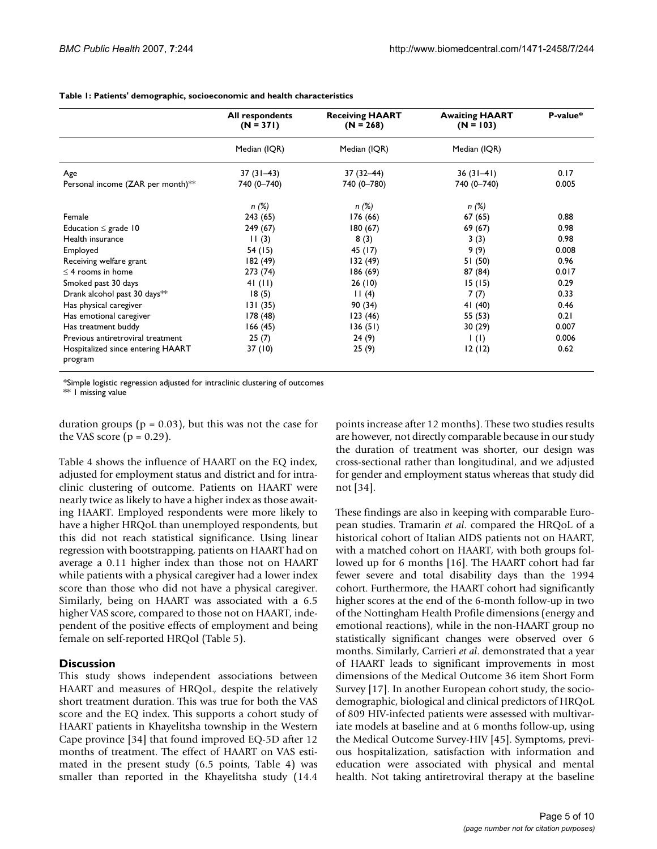|                                              | <b>All respondents</b><br>$(N = 371)$ | <b>Receiving HAART</b><br>$(N = 268)$ | <b>Awaiting HAART</b><br>$(N = 103)$ | P-value* |
|----------------------------------------------|---------------------------------------|---------------------------------------|--------------------------------------|----------|
|                                              | Median (IQR)                          | Median (IQR)                          | Median (IQR)                         |          |
| Age                                          | $37(31-43)$                           | $37(32 - 44)$                         | $36(31-41)$                          | 0.17     |
| Personal income (ZAR per month)**            | 740 (0-740)                           | 740 (0-780)                           | 740 (0-740)                          | 0.005    |
|                                              | n(%)                                  | n(%)                                  | n (%)                                |          |
| Female                                       | 243 (65)                              | 176 (66)                              | 67(65)                               | 0.88     |
| Education $\leq$ grade 10                    | 249 (67)                              | 180 (67)                              | 69 (67)                              | 0.98     |
| Health insurance                             | 11(3)                                 | 8(3)                                  | 3(3)                                 | 0.98     |
| Employed                                     | 54 (15)                               | 45 (17)                               | 9(9)                                 | 0.008    |
| Receiving welfare grant                      | 182(49)                               | 132 (49)                              | 51 (50)                              | 0.96     |
| $\leq$ 4 rooms in home                       | 273 (74)                              | 186 (69)                              | 87 (84)                              | 0.017    |
| Smoked past 30 days                          | 41 $(11)$                             | 26(10)                                | 15(15)                               | 0.29     |
| Drank alcohol past 30 days**                 | 18(5)                                 | 11(4)                                 | 7(7)                                 | 0.33     |
| Has physical caregiver                       | 131(35)                               | 90 (34)                               | 41 (40)                              | 0.46     |
| Has emotional caregiver                      | 178(48)                               | 123 (46)                              | 55 (53)                              | 0.21     |
| Has treatment buddy                          | 166(45)                               | 136(51)                               | 30(29)                               | 0.007    |
| Previous antiretroviral treatment            | 25(7)                                 | 24(9)                                 | $\vert$ (l)                          | 0.006    |
| Hospitalized since entering HAART<br>program | 37 (10)                               | 25(9)                                 | 12(12)                               | 0.62     |

**Table 1: Patients' demographic, socioeconomic and health characteristics**

\*Simple logistic regression adjusted for intraclinic clustering of outcomes

\*\* I missing value

duration groups ( $p = 0.03$ ), but this was not the case for the VAS score  $(p = 0.29)$ .

Table 4 shows the influence of HAART on the EQ index, adjusted for employment status and district and for intraclinic clustering of outcome. Patients on HAART were nearly twice as likely to have a higher index as those awaiting HAART. Employed respondents were more likely to have a higher HRQoL than unemployed respondents, but this did not reach statistical significance. Using linear regression with bootstrapping, patients on HAART had on average a 0.11 higher index than those not on HAART while patients with a physical caregiver had a lower index score than those who did not have a physical caregiver. Similarly, being on HAART was associated with a 6.5 higher VAS score, compared to those not on HAART, independent of the positive effects of employment and being female on self-reported HRQol (Table 5).

#### **Discussion**

This study shows independent associations between HAART and measures of HRQoL, despite the relatively short treatment duration. This was true for both the VAS score and the EQ index. This supports a cohort study of HAART patients in Khayelitsha township in the Western Cape province [34] that found improved EQ-5D after 12 months of treatment. The effect of HAART on VAS estimated in the present study (6.5 points, Table 4) was smaller than reported in the Khayelitsha study (14.4

points increase after 12 months). These two studies results are however, not directly comparable because in our study the duration of treatment was shorter, our design was cross-sectional rather than longitudinal, and we adjusted for gender and employment status whereas that study did not [34].

These findings are also in keeping with comparable European studies. Tramarin *et al*. compared the HRQoL of a historical cohort of Italian AIDS patients not on HAART, with a matched cohort on HAART, with both groups followed up for 6 months [16]. The HAART cohort had far fewer severe and total disability days than the 1994 cohort. Furthermore, the HAART cohort had significantly higher scores at the end of the 6-month follow-up in two of the Nottingham Health Profile dimensions (energy and emotional reactions), while in the non-HAART group no statistically significant changes were observed over 6 months. Similarly, Carrieri *et al*. demonstrated that a year of HAART leads to significant improvements in most dimensions of the Medical Outcome 36 item Short Form Survey [17]. In another European cohort study, the sociodemographic, biological and clinical predictors of HRQoL of 809 HIV-infected patients were assessed with multivariate models at baseline and at 6 months follow-up, using the Medical Outcome Survey-HIV [45]. Symptoms, previous hospitalization, satisfaction with information and education were associated with physical and mental health. Not taking antiretroviral therapy at the baseline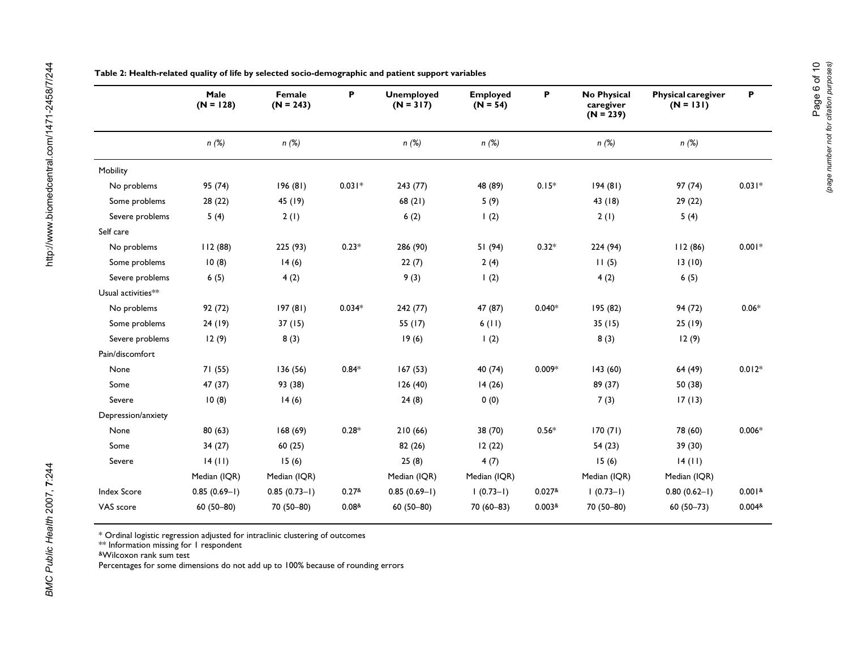|                    | Male<br>$(N = 128)$ | Female<br>$(N = 243)$ | P                 | <b>Unemployed</b><br>$(N = 317)$ | <b>Employed</b><br>$(N = 54)$ | P                        | No Physical<br>caregiver<br>$(N = 239)$ | <b>Physical caregiver</b><br>$(N = 131)$ | P                  |
|--------------------|---------------------|-----------------------|-------------------|----------------------------------|-------------------------------|--------------------------|-----------------------------------------|------------------------------------------|--------------------|
|                    | $n$ (%)             | $n$ (%)               |                   | n(%)                             | $n$ (%)                       |                          | $n$ (%)                                 | $n$ (%)                                  |                    |
| Mobility           |                     |                       |                   |                                  |                               |                          |                                         |                                          |                    |
| No problems        | 95 (74)             | 196(81)               | $0.031*$          | 243(77)                          | 48 (89)                       | $0.15*$                  | 194(81)                                 | 97 (74)                                  | $0.031*$           |
| Some problems      | 28 (22)             | 45 (19)               |                   | 68(21)                           | 5(9)                          |                          | 43 (18)                                 | 29(22)                                   |                    |
| Severe problems    | 5(4)                | 2(1)                  |                   | 6(2)                             | 1(2)                          |                          | 2(1)                                    | 5(4)                                     |                    |
| Self care          |                     |                       |                   |                                  |                               |                          |                                         |                                          |                    |
| No problems        | 112 (88)            | 225 (93)              | $0.23*$           | 286 (90)                         | 51 (94)                       | $0.32*$                  | 224 (94)                                | 112(86)                                  | $0.001*$           |
| Some problems      | 10(8)               | 14(6)                 |                   | 22(7)                            | 2(4)                          |                          | 11(5)                                   | 13(10)                                   |                    |
| Severe problems    | 6(5)                | 4(2)                  |                   | 9(3)                             | 1(2)                          |                          | 4(2)                                    | 6(5)                                     |                    |
| Usual activities** |                     |                       |                   |                                  |                               |                          |                                         |                                          |                    |
| No problems        | 92 (72)             | 197 (81)              | $0.034*$          | 242(77)                          | 47 (87)                       | $0.040*$                 | 195 (82)                                | 94 (72)                                  | $0.06*$            |
| Some problems      | 24 (19)             | 37(15)                |                   | 55 (17)                          | 6(11)                         |                          | 35(15)                                  | 25(19)                                   |                    |
| Severe problems    | 12(9)               | 8(3)                  |                   | 19(6)                            | 1(2)                          |                          | 8(3)                                    | 12(9)                                    |                    |
| Pain/discomfort    |                     |                       |                   |                                  |                               |                          |                                         |                                          |                    |
| None               | 71(55)              | 136(56)               | $0.84*$           | 167(53)                          | 40 (74)                       | $0.009*$                 | 143(60)                                 | 64 (49)                                  | $0.012*$           |
| Some               | 47 (37)             | 93 (38)               |                   | 126(40)                          | 14(26)                        |                          | 89 (37)                                 | 50 (38)                                  |                    |
| Severe             | 10(8)               | 14(6)                 |                   | 24(8)                            | 0(0)                          |                          | 7(3)                                    | 17(13)                                   |                    |
| Depression/anxiety |                     |                       |                   |                                  |                               |                          |                                         |                                          |                    |
| None               | 80(63)              | 168(69)               | $0.28*$           | 210(66)                          | 38 (70)                       | $0.56*$                  | 170(71)                                 | 78 (60)                                  | $0.006*$           |
| Some               | 34(27)              | 60(25)                |                   | 82(26)                           | 12(22)                        |                          | 54(23)                                  | 39 (30)                                  |                    |
| Severe             | 14 (11)             | 15(6)                 |                   | 25(8)                            | 4(7)                          |                          | 15(6)                                   | 14(11)                                   |                    |
|                    | Median (IQR)        | Median (IQR)          |                   | Median (IQR)                     | Median (IQR)                  |                          | Median (IQR)                            | Median (IQR)                             |                    |
| <b>Index Score</b> | $0.85(0.69-1)$      | $0.85(0.73-1)$        | 0.27 <sup>8</sup> | $0.85(0.69-1)$                   | $(0.73-1)$                    | $0.027$ &                | $1(0.73-1)$                             | $0.80(0.62 - I)$                         | 0.001 <sup>8</sup> |
| VAS score          | $60(50 - 80)$       | 70 (50-80)            | 0.08 <sup>8</sup> | $60(50-80)$                      | $70(60 - 83)$                 | $0.003$ <sup>&amp;</sup> | 70 (50-80)                              | $60(50 - 73)$                            | 0.004 <sup>8</sup> |

**Table 2: Health-related quality of life by selected socio-demographic and patient support variables**

\* Ordinal logistic regression adjusted for intraclinic clustering of outcomes

 $^{**}$  Information missing for 1 respondent

&Wilcoxon rank sum test

Percentages for some dimensions do not add up to 100% because of rounding errors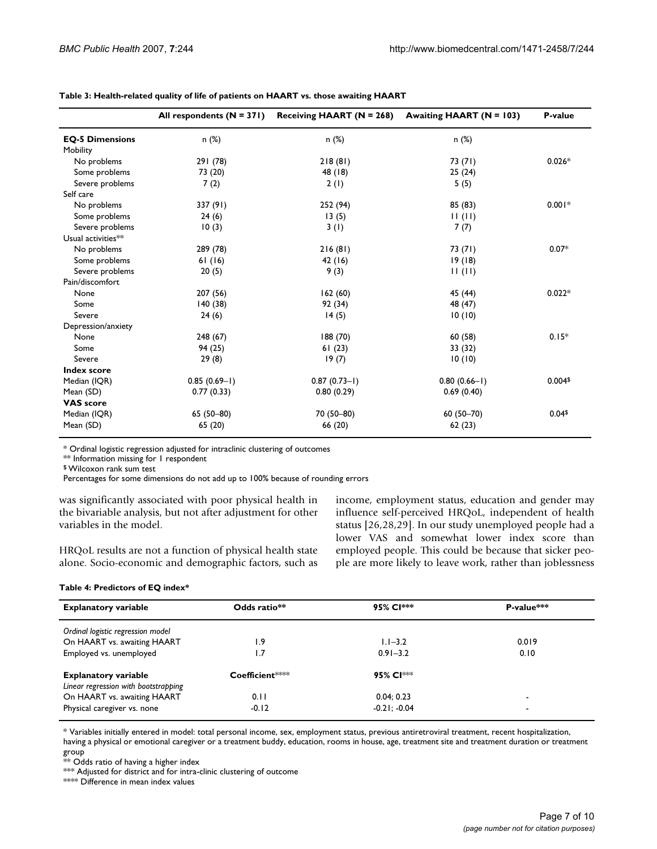|                        | All respondents $(N = 371)$ | Receiving HAART $(N = 268)$ | Awaiting HAART (N = 103) | P-value    |
|------------------------|-----------------------------|-----------------------------|--------------------------|------------|
| <b>EQ-5 Dimensions</b> | n (%)                       | n (%)                       | n (%)                    |            |
| Mobility               |                             |                             |                          |            |
| No problems            | 291 (78)                    | 218(81)                     | 73 (71)                  | $0.026*$   |
| Some problems          | 73 (20)                     | 48 (18)                     | 25(24)                   |            |
| Severe problems        | 7(2)                        | 2(1)                        | 5(5)                     |            |
| Self care              |                             |                             |                          |            |
| No problems            | 337 (91)                    | 252 (94)                    | 85 (83)                  | $0.001*$   |
| Some problems          | 24(6)                       | 13(5)                       | 11(11)                   |            |
| Severe problems        | 10(3)                       | 3(1)                        | 7(7)                     |            |
| Usual activities**     |                             |                             |                          |            |
| No problems            | 289 (78)                    | 216(81)                     | 73 (71)                  | $0.07*$    |
| Some problems          | 61(16)                      | 42(16)                      | 19(18)                   |            |
| Severe problems        | 20(5)                       | 9(3)                        | 11(11)                   |            |
| Pain/discomfort        |                             |                             |                          |            |
| None                   | 207 (56)                    | 162(60)                     | 45 (44)                  | $0.022*$   |
| Some                   | 140(38)                     | 92 (34)                     | 48 (47)                  |            |
| Severe                 | 24(6)                       | 14(5)                       | 10(10)                   |            |
| Depression/anxiety     |                             |                             |                          |            |
| None                   | 248(67)                     | 188 (70)                    | 60 (58)                  | $0.15*$    |
| Some                   | 94 (25)                     | 61(23)                      | 33 (32)                  |            |
| Severe                 | 29(8)                       | 19(7)                       | 10(10)                   |            |
| <b>Index score</b>     |                             |                             |                          |            |
| Median (IQR)           | $0.85(0.69-1)$              | $0.87(0.73 - 1)$            | $0.80(0.66 - 1)$         | $0.004$ \$ |
| Mean (SD)              | 0.77(0.33)                  | 0.80(0.29)                  | 0.69(0.40)               |            |
| <b>VAS</b> score       |                             |                             |                          |            |
| Median (IQR)           | 65 (50-80)                  | 70 (50-80)                  | $60(50 - 70)$            | $0.04$ \$  |
| Mean (SD)              | 65 (20)                     | 66 (20)                     | 62(23)                   |            |

**Table 3: Health-related quality of life of patients on HAART vs. those awaiting HAART**

\* Ordinal logistic regression adjusted for intraclinic clustering of outcomes

\*\* Information missing for 1 respondent

\$ Wilcoxon rank sum test

Percentages for some dimensions do not add up to 100% because of rounding errors

was significantly associated with poor physical health in the bivariable analysis, but not after adjustment for other variables in the model.

HRQoL results are not a function of physical health state alone. Socio-economic and demographic factors, such as income, employment status, education and gender may influence self-perceived HRQoL, independent of health status [26,28,29]. In our study unemployed people had a lower VAS and somewhat lower index score than employed people. This could be because that sicker people are more likely to leave work, rather than joblessness

#### **Table 4: Predictors of EQ index\***

| <b>Explanatory variable</b>          | Odds ratio** | 95% Cl***      | P-value***               |
|--------------------------------------|--------------|----------------|--------------------------|
| Ordinal logistic regression model    |              |                |                          |
| On HAART vs. awaiting HAART          | 1.9          | $1.1 - 3.2$    | 0.019                    |
| Employed vs. unemployed              | ۱.7          | $0.91 - 3.2$   | 0.10                     |
| <b>Explanatory variable</b>          | Coefficient  | 95% Cl***      |                          |
| Linear regression with bootstrapping |              |                |                          |
| On HAART vs. awaiting HAART          | 0.11         | 0.04:0.23      | $\overline{\phantom{0}}$ |
| Physical caregiver vs. none          | $-0.12$      | $-0.21: -0.04$ |                          |

\* Variables initially entered in model: total personal income, sex, employment status, previous antiretroviral treatment, recent hospitalization, having a physical or emotional caregiver or a treatment buddy, education, rooms in house, age, treatment site and treatment duration or treatment group

 $^{**}$  Odds ratio of having a higher index

\*\*\* Adjusted for district and for intra-clinic clustering of outcome

\*\*\*\* Difference in mean index values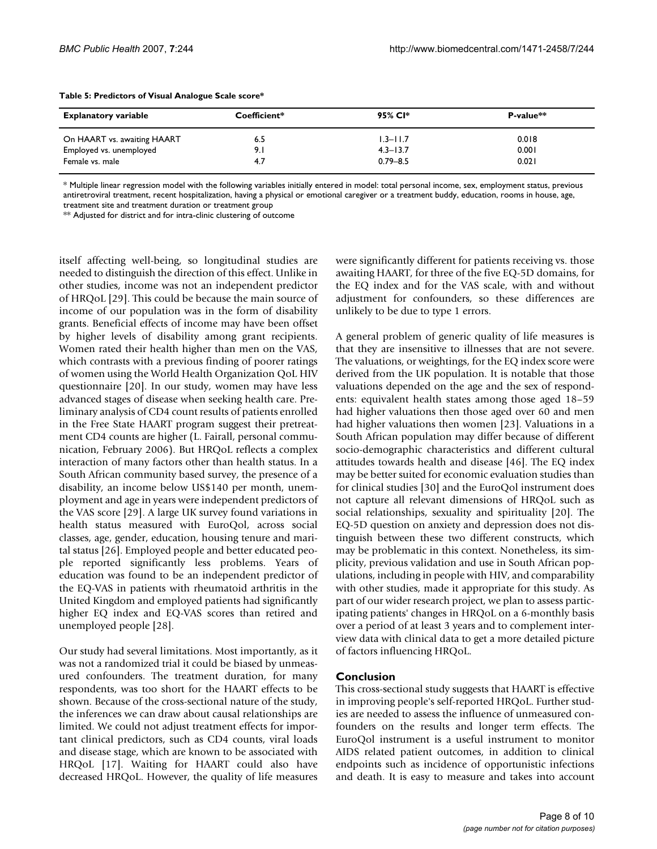| <b>Explanatory variable</b> | Coefficient* | 95% CI*      | $P-value**$ |
|-----------------------------|--------------|--------------|-------------|
| On HAART vs. awaiting HAART | 6.5          | $1.3 - 11.7$ | 0.018       |
| Employed vs. unemployed     | 9.I          | $4.3 - 13.7$ | 0.001       |
| Female vs. male             | 4.7          | $0.79 - 8.5$ | 0.021       |

#### **Table 5: Predictors of Visual Analogue Scale score\***

\* Multiple linear regression model with the following variables initially entered in model: total personal income, sex, employment status, previous antiretroviral treatment, recent hospitalization, having a physical or emotional caregiver or a treatment buddy, education, rooms in house, age, treatment site and treatment duration or treatment group

\*\* Adjusted for district and for intra-clinic clustering of outcome

itself affecting well-being, so longitudinal studies are needed to distinguish the direction of this effect. Unlike in other studies, income was not an independent predictor of HRQoL [29]. This could be because the main source of income of our population was in the form of disability grants. Beneficial effects of income may have been offset by higher levels of disability among grant recipients. Women rated their health higher than men on the VAS, which contrasts with a previous finding of poorer ratings of women using the World Health Organization QoL HIV questionnaire [20]. In our study, women may have less advanced stages of disease when seeking health care. Preliminary analysis of CD4 count results of patients enrolled in the Free State HAART program suggest their pretreatment CD4 counts are higher (L. Fairall, personal communication, February 2006). But HRQoL reflects a complex interaction of many factors other than health status. In a South African community based survey, the presence of a disability, an income below US\$140 per month, unemployment and age in years were independent predictors of the VAS score [29]. A large UK survey found variations in health status measured with EuroQol, across social classes, age, gender, education, housing tenure and marital status [26]. Employed people and better educated people reported significantly less problems. Years of education was found to be an independent predictor of the EQ-VAS in patients with rheumatoid arthritis in the United Kingdom and employed patients had significantly higher EQ index and EQ-VAS scores than retired and unemployed people [28].

Our study had several limitations. Most importantly, as it was not a randomized trial it could be biased by unmeasured confounders. The treatment duration, for many respondents, was too short for the HAART effects to be shown. Because of the cross-sectional nature of the study, the inferences we can draw about causal relationships are limited. We could not adjust treatment effects for important clinical predictors, such as CD4 counts, viral loads and disease stage, which are known to be associated with HRQoL [17]. Waiting for HAART could also have decreased HRQoL. However, the quality of life measures were significantly different for patients receiving vs. those awaiting HAART, for three of the five EQ-5D domains, for the EQ index and for the VAS scale, with and without adjustment for confounders, so these differences are unlikely to be due to type 1 errors.

A general problem of generic quality of life measures is that they are insensitive to illnesses that are not severe. The valuations, or weightings, for the EQ index score were derived from the UK population. It is notable that those valuations depended on the age and the sex of respondents: equivalent health states among those aged 18–59 had higher valuations then those aged over 60 and men had higher valuations then women [23]. Valuations in a South African population may differ because of different socio-demographic characteristics and different cultural attitudes towards health and disease [46]. The EQ index may be better suited for economic evaluation studies than for clinical studies [30] and the EuroQol instrument does not capture all relevant dimensions of HRQoL such as social relationships, sexuality and spirituality [20]. The EQ-5D question on anxiety and depression does not distinguish between these two different constructs, which may be problematic in this context. Nonetheless, its simplicity, previous validation and use in South African populations, including in people with HIV, and comparability with other studies, made it appropriate for this study. As part of our wider research project, we plan to assess participating patients' changes in HRQoL on a 6-monthly basis over a period of at least 3 years and to complement interview data with clinical data to get a more detailed picture of factors influencing HRQoL.

#### **Conclusion**

This cross-sectional study suggests that HAART is effective in improving people's self-reported HRQoL. Further studies are needed to assess the influence of unmeasured confounders on the results and longer term effects. The EuroQol instrument is a useful instrument to monitor AIDS related patient outcomes, in addition to clinical endpoints such as incidence of opportunistic infections and death. It is easy to measure and takes into account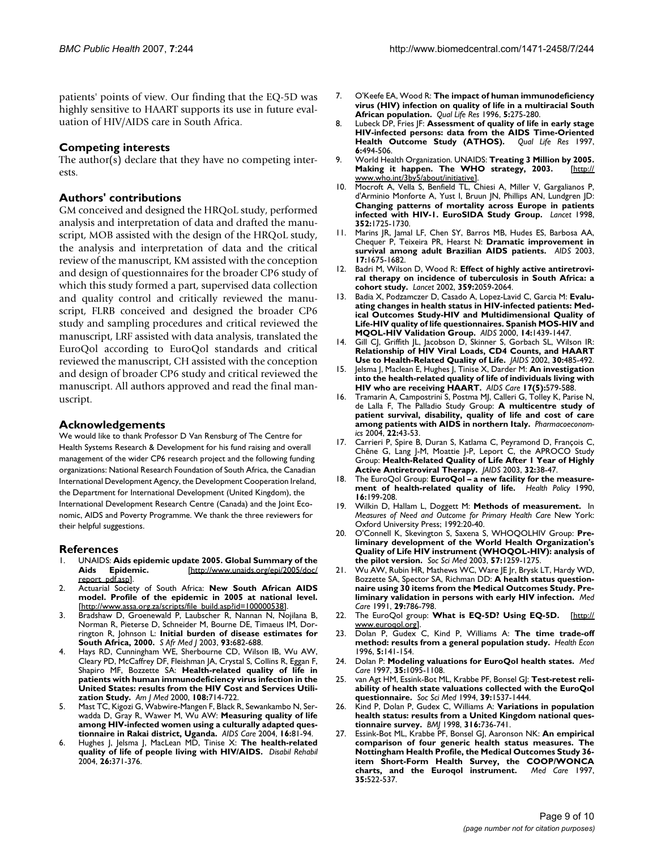patients' points of view. Our finding that the EQ-5D was highly sensitive to HAART supports its use in future evaluation of HIV/AIDS care in South Africa.

### **Competing interests**

The author(s) declare that they have no competing interests.

#### **Authors' contributions**

GM conceived and designed the HRQoL study, performed analysis and interpretation of data and drafted the manuscript, MOB assisted with the design of the HRQoL study, the analysis and interpretation of data and the critical review of the manuscript, KM assisted with the conception and design of questionnaires for the broader CP6 study of which this study formed a part, supervised data collection and quality control and critically reviewed the manuscript, FLRB conceived and designed the broader CP6 study and sampling procedures and critical reviewed the manuscript, LRF assisted with data analysis, translated the EuroQol according to EuroQol standards and critical reviewed the manuscript, CH assisted with the conception and design of broader CP6 study and critical reviewed the manuscript. All authors approved and read the final manuscript.

#### **Acknowledgements**

We would like to thank Professor D Van Rensburg of The Centre for Health Systems Research & Development for his fund raising and overall management of the wider CP6 research project and the following funding organizations: National Research Foundation of South Africa, the Canadian International Development Agency, the Development Cooperation Ireland, the Department for International Development (United Kingdom), the International Development Research Centre (Canada) and the Joint Economic, AIDS and Poverty Programme. We thank the three reviewers for their helpful suggestions.

#### **References**

- 1. UNAIDS: **Aids epidemic update 2005. Global Summary of the Aids Epidemic.** [[http://www.unaids.org/epi/2005/doc/](http://www.unaids.org/epi/2005/doc/report_pdf.asp) [report\\_pdf.asp\]](http://www.unaids.org/epi/2005/doc/report_pdf.asp).
- 2. Actuarial Society of South Africa: **New South African AIDS model. Profile of the epidemic in 2005 at national level.** [[http://www.assa.org.za/scripts/file\\_build.asp?id=100000538\]](http://www.assa.org.za/scripts/file_build.asp?id=100000538).
- Bradshaw D, Groenewald P, Laubscher R, Nannan N, Nojilana B, Norman R, Pieterse D, Schneider M, Bourne DE, Timaeus IM, Dorrington R, Johnson L: **[Initial burden of disease estimates for](http://www.ncbi.nlm.nih.gov/entrez/query.fcgi?cmd=Retrieve&db=PubMed&dopt=Abstract&list_uids=14635557) [South Africa, 2000.](http://www.ncbi.nlm.nih.gov/entrez/query.fcgi?cmd=Retrieve&db=PubMed&dopt=Abstract&list_uids=14635557)** *S Afr Med J* 2003, **93:**682-688.
- 4. Hays RD, Cunningham WE, Sherbourne CD, Wilson IB, Wu AW, Cleary PD, McCaffrey DF, Fleishman JA, Crystal S, Collins R, Eggan F, Shapiro MF, Bozzette SA: **[Health-related quality of life in](http://www.ncbi.nlm.nih.gov/entrez/query.fcgi?cmd=Retrieve&db=PubMed&dopt=Abstract&list_uids=10924648) patients with human immunodeficiency virus infection in the** [United States: results from the HIV Cost and Services Utili](http://www.ncbi.nlm.nih.gov/entrez/query.fcgi?cmd=Retrieve&db=PubMed&dopt=Abstract&list_uids=10924648)**[zation Study.](http://www.ncbi.nlm.nih.gov/entrez/query.fcgi?cmd=Retrieve&db=PubMed&dopt=Abstract&list_uids=10924648)** *Am J Med* 2000, **108:**714-722.
- Mast TC, Kigozi G, Wabwire-Mangen F, Black R, Sewankambo N, Serwadda D, Gray R, Wawer M, Wu AW: **[Measuring quality of life](http://www.ncbi.nlm.nih.gov/entrez/query.fcgi?cmd=Retrieve&db=PubMed&dopt=Abstract&list_uids=14660146) [among HIV-infected women using a culturally adapted ques](http://www.ncbi.nlm.nih.gov/entrez/query.fcgi?cmd=Retrieve&db=PubMed&dopt=Abstract&list_uids=14660146)[tionnaire in Rakai district, Uganda.](http://www.ncbi.nlm.nih.gov/entrez/query.fcgi?cmd=Retrieve&db=PubMed&dopt=Abstract&list_uids=14660146)** *AIDS Care* 2004, **16:**81-94.
- 6. Hughes J, Jelsma J, MacLean MD, Tinise X: **[The health-related](http://www.ncbi.nlm.nih.gov/entrez/query.fcgi?cmd=Retrieve&db=PubMed&dopt=Abstract&list_uids=15204489) [quality of life of people living with HIV/AIDS.](http://www.ncbi.nlm.nih.gov/entrez/query.fcgi?cmd=Retrieve&db=PubMed&dopt=Abstract&list_uids=15204489)** *Disabil Rehabil* 2004, **26:**371-376.
- 7. O'Keefe EA, Wood R: **[The impact of human immunodeficiency](http://www.ncbi.nlm.nih.gov/entrez/query.fcgi?cmd=Retrieve&db=PubMed&dopt=Abstract&list_uids=8998496) [virus \(HIV\) infection on quality of life in a multiracial South](http://www.ncbi.nlm.nih.gov/entrez/query.fcgi?cmd=Retrieve&db=PubMed&dopt=Abstract&list_uids=8998496) [African population.](http://www.ncbi.nlm.nih.gov/entrez/query.fcgi?cmd=Retrieve&db=PubMed&dopt=Abstract&list_uids=8998496)** *Qual Life Res* 1996, **5:**275-280.
- 8. Lubeck DP, Fries JF: **[Assessment of quality of life in early stage](http://www.ncbi.nlm.nih.gov/entrez/query.fcgi?cmd=Retrieve&db=PubMed&dopt=Abstract&list_uids=9330550) [HIV-infected persons: data from the AIDS Time-Oriented](http://www.ncbi.nlm.nih.gov/entrez/query.fcgi?cmd=Retrieve&db=PubMed&dopt=Abstract&list_uids=9330550) [Health Outcome Study \(ATHOS\).](http://www.ncbi.nlm.nih.gov/entrez/query.fcgi?cmd=Retrieve&db=PubMed&dopt=Abstract&list_uids=9330550) 6:**494-506.
- 9. World Health Organization. UNAIDS: **Treating 3 Million by 2005. Making it happen. The WHO strategy, 2003.** [\[http://](http://www.who.int/3by5/about/initiative) [www.who.int/3by5/about/initiative](http://www.who.int/3by5/about/initiative)].
- 10. Mocroft A, Vella S, Benfield TL, Chiesi A, Miller V, Gargalianos P, d'Arminio Monforte A, Yust I, Bruun JN, Phillips AN, Lundgren JD: **[Changing patterns of mortality across Europe in patients](http://www.ncbi.nlm.nih.gov/entrez/query.fcgi?cmd=Retrieve&db=PubMed&dopt=Abstract&list_uids=9848347) [infected with HIV-1. EuroSIDA Study Group.](http://www.ncbi.nlm.nih.gov/entrez/query.fcgi?cmd=Retrieve&db=PubMed&dopt=Abstract&list_uids=9848347)** *Lancet* 1998, **352:**1725-1730.
- 11. Marins JR, Jamal LF, Chen SY, Barros MB, Hudes ES, Barbosa AA, Chequer P, Teixeira PR, Hearst N: **[Dramatic improvement in](http://www.ncbi.nlm.nih.gov/entrez/query.fcgi?cmd=Retrieve&db=PubMed&dopt=Abstract&list_uids=12853750) [survival among adult Brazilian AIDS patients.](http://www.ncbi.nlm.nih.gov/entrez/query.fcgi?cmd=Retrieve&db=PubMed&dopt=Abstract&list_uids=12853750)** *AIDS* 2003, **17:**1675-1682.
- 12. Badri M, Wilson D, Wood R: **[Effect of highly active antiretrovi](http://www.ncbi.nlm.nih.gov/entrez/query.fcgi?cmd=Retrieve&db=PubMed&dopt=Abstract&list_uids=12086758)[ral therapy on incidence of tuberculosis in South Africa: a](http://www.ncbi.nlm.nih.gov/entrez/query.fcgi?cmd=Retrieve&db=PubMed&dopt=Abstract&list_uids=12086758) [cohort study.](http://www.ncbi.nlm.nih.gov/entrez/query.fcgi?cmd=Retrieve&db=PubMed&dopt=Abstract&list_uids=12086758)** *Lancet* 2002, **359:**2059-2064.
- 13. Badia X, Podzamczer D, Casado A, Lopez-Lavid C, Garcia M: **[Evalu](http://www.ncbi.nlm.nih.gov/entrez/query.fcgi?cmd=Retrieve&db=PubMed&dopt=Abstract&list_uids=10930160)ating changes in health status in HIV-infected patients: Med[ical Outcomes Study-HIV and Multidimensional Quality of](http://www.ncbi.nlm.nih.gov/entrez/query.fcgi?cmd=Retrieve&db=PubMed&dopt=Abstract&list_uids=10930160) Life-HIV quality of life questionnaires. Spanish MOS-HIV and [MQOL-HIV Validation Group.](http://www.ncbi.nlm.nih.gov/entrez/query.fcgi?cmd=Retrieve&db=PubMed&dopt=Abstract&list_uids=10930160)** *AIDS* 2000, **14:**1439-1447.
- Gill CJ, Griffith JL, Jacobson D, Skinner S, Gorbach SL, Wilson IR: **[Relationship of HIV Viral Loads, CD4 Counts, and HAART](http://www.ncbi.nlm.nih.gov/entrez/query.fcgi?cmd=Retrieve&db=PubMed&dopt=Abstract&list_uids=12154339) [Use to Health-Related Quality of Life.](http://www.ncbi.nlm.nih.gov/entrez/query.fcgi?cmd=Retrieve&db=PubMed&dopt=Abstract&list_uids=12154339)** *JAIDS* 2002, **30:**485-492.
- 15. Jelsma J, Maclean E, Hughes J, Tinise X, Darder M: **An investigation into the health-related quality of life of individuals living with HIV who are receiving HAART.** *AIDS Care* **17(5):**579-588.
- 16. Tramarin A, Campostrini S, Postma MJ, Calleri G, Tolley K, Parise N, de Lalla F, The Palladio Study Group: **[A multicentre study of](http://www.ncbi.nlm.nih.gov/entrez/query.fcgi?cmd=Retrieve&db=PubMed&dopt=Abstract&list_uids=14720081) [patient survival, disability, quality of life and cost of care](http://www.ncbi.nlm.nih.gov/entrez/query.fcgi?cmd=Retrieve&db=PubMed&dopt=Abstract&list_uids=14720081) [among patients with AIDS in northern Italy.](http://www.ncbi.nlm.nih.gov/entrez/query.fcgi?cmd=Retrieve&db=PubMed&dopt=Abstract&list_uids=14720081)** *Pharmacoeconomics* 2004, **22:**43-53.
- 17. Carrieri P, Spire B, Duran S, Katlama C, Peyramond D, François C, Chêne G, Lang J-M, Moattie J-P, Leport C, the APROCO Study Group: **[Health-Related Quality of Life After 1 Year of Highly](http://www.ncbi.nlm.nih.gov/entrez/query.fcgi?cmd=Retrieve&db=PubMed&dopt=Abstract&list_uids=12514412) [Active Antiretroviral Therapy.](http://www.ncbi.nlm.nih.gov/entrez/query.fcgi?cmd=Retrieve&db=PubMed&dopt=Abstract&list_uids=12514412)** *JAIDS* 2003, **32:**38-47.
- 18. The EuroQol Group: **[EuroQol a new facility for the measure](http://www.ncbi.nlm.nih.gov/entrez/query.fcgi?cmd=Retrieve&db=PubMed&dopt=Abstract&list_uids=10109801)[ment of health-related quality of life.](http://www.ncbi.nlm.nih.gov/entrez/query.fcgi?cmd=Retrieve&db=PubMed&dopt=Abstract&list_uids=10109801)** *Health Policy* 1990, **16:**199-208.
- 19. Wilkin D, Hallam L, Doggett M: **Methods of measurement.** In *Measures of Need and Outcome for Primary Health Care* New York: Oxford University Press; 1992:20-40.
- 20. O'Connell K, Skevington S, Saxena S, WHOQOLHIV Group: **[Pre](http://www.ncbi.nlm.nih.gov/entrez/query.fcgi?cmd=Retrieve&db=PubMed&dopt=Abstract&list_uids=12899909)liminary development of the World Health Organization's [Quality of Life HIV instrument \(WHOQOL-HIV\): analysis of](http://www.ncbi.nlm.nih.gov/entrez/query.fcgi?cmd=Retrieve&db=PubMed&dopt=Abstract&list_uids=12899909) [the pilot version.](http://www.ncbi.nlm.nih.gov/entrez/query.fcgi?cmd=Retrieve&db=PubMed&dopt=Abstract&list_uids=12899909)** *Soc Sci Med* 2003, **57:**1259-1275.
- 21. Wu AW, Rubin HR, Mathews WC, Ware JE Jr, Brysk LT, Hardy WD, Bozzette SA, Spector SA, Richman DD: **[A health status question](http://www.ncbi.nlm.nih.gov/entrez/query.fcgi?cmd=Retrieve&db=PubMed&dopt=Abstract&list_uids=1875745)[naire using 30 items from the Medical Outcomes Study. Pre](http://www.ncbi.nlm.nih.gov/entrez/query.fcgi?cmd=Retrieve&db=PubMed&dopt=Abstract&list_uids=1875745)[liminary validation in persons with early HIV infection.](http://www.ncbi.nlm.nih.gov/entrez/query.fcgi?cmd=Retrieve&db=PubMed&dopt=Abstract&list_uids=1875745)** *Med Care* 1991, **29:**786-798.
- 22. The EuroQol group: **What is EQ-5D? Using EQ-5D.** [\[http://](http://www.euroqol.org) [www.euroqol.org](http://www.euroqol.org)].
- 23. Dolan P, Gudex C, Kind P, Williams A: **[The time trade-off](http://www.ncbi.nlm.nih.gov/entrez/query.fcgi?cmd=Retrieve&db=PubMed&dopt=Abstract&list_uids=8733106) [method: results from a general population study.](http://www.ncbi.nlm.nih.gov/entrez/query.fcgi?cmd=Retrieve&db=PubMed&dopt=Abstract&list_uids=8733106)** *Health Econ* 1996, **5:**141-154.
- 24. Dolan P: **[Modeling valuations for EuroQol health states.](http://www.ncbi.nlm.nih.gov/entrez/query.fcgi?cmd=Retrieve&db=PubMed&dopt=Abstract&list_uids=9366889)** *Med Care* 1997, **35:**1095-1108.
- 25. van Agt HM, Essink-Bot ML, Krabbe PF, Bonsel GJ: **[Test-retest reli](http://www.ncbi.nlm.nih.gov/entrez/query.fcgi?cmd=Retrieve&db=PubMed&dopt=Abstract&list_uids=7817218)[ability of health state valuations collected with the EuroQol](http://www.ncbi.nlm.nih.gov/entrez/query.fcgi?cmd=Retrieve&db=PubMed&dopt=Abstract&list_uids=7817218) [questionnaire.](http://www.ncbi.nlm.nih.gov/entrez/query.fcgi?cmd=Retrieve&db=PubMed&dopt=Abstract&list_uids=7817218)** *Soc Sci Med* 1994, **39:**1537-1444.
- 26. Kind P, Dolan P, Gudex C, Williams A: **[Variations in population](http://www.ncbi.nlm.nih.gov/entrez/query.fcgi?cmd=Retrieve&db=PubMed&dopt=Abstract&list_uids=9529408) [health status: results from a United Kingdom national ques](http://www.ncbi.nlm.nih.gov/entrez/query.fcgi?cmd=Retrieve&db=PubMed&dopt=Abstract&list_uids=9529408)[tionnaire survey.](http://www.ncbi.nlm.nih.gov/entrez/query.fcgi?cmd=Retrieve&db=PubMed&dopt=Abstract&list_uids=9529408)** *BMJ* 1998, **316:**736-741.
- 27. Essink-Bot ML, Krabbe PF, Bonsel GJ, Aaronson NK: **[An empirical](http://www.ncbi.nlm.nih.gov/entrez/query.fcgi?cmd=Retrieve&db=PubMed&dopt=Abstract&list_uids=9140339) comparison of four generic health status measures. The [Nottingham Health Profile, the Medical Outcomes Study 36](http://www.ncbi.nlm.nih.gov/entrez/query.fcgi?cmd=Retrieve&db=PubMed&dopt=Abstract&list_uids=9140339) item Short-Form Health Survey, the COOP/WONCA [charts, and the Euroqol instrument.](http://www.ncbi.nlm.nih.gov/entrez/query.fcgi?cmd=Retrieve&db=PubMed&dopt=Abstract&list_uids=9140339)** *Med Care* 1997, **35:**522-537.